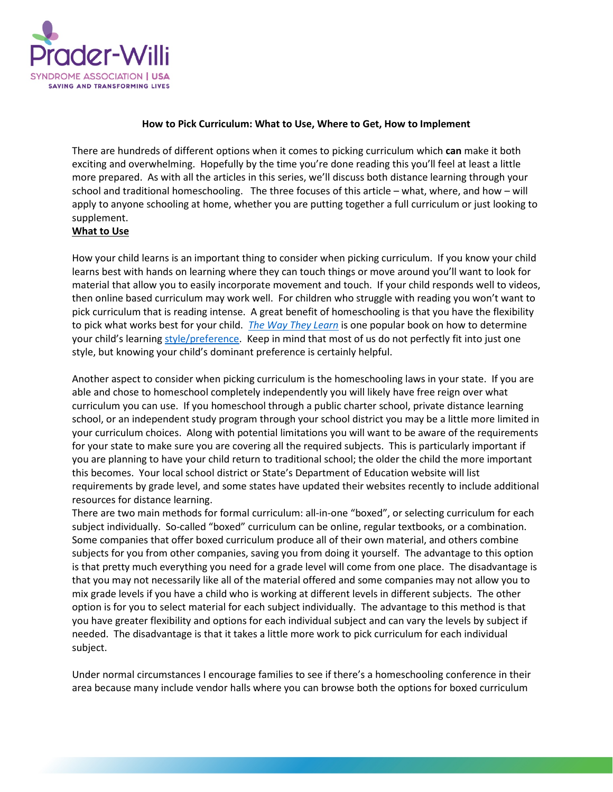

## **How to Pick Curriculum: What to Use, Where to Get, How to Implement**

There are hundreds of different options when it comes to picking curriculum which **can** make it both exciting and overwhelming. Hopefully by the time you're done reading this you'll feel at least a little more prepared. As with all the articles in this series, we'll discuss both distance learning through your school and traditional homeschooling. The three focuses of this article – what, where, and how – will apply to anyone schooling at home, whether you are putting together a full curriculum or just looking to supplement.

## **What to Use**

How your child learns is an important thing to consider when picking curriculum. If you know your child learns best with hands on learning where they can touch things or move around you'll want to look for material that allow you to easily incorporate movement and touch. If your child responds well to videos, then online based curriculum may work well. For children who struggle with reading you won't want to pick curriculum that is reading intense. A great benefit of homeschooling is that you have the flexibility to pick what works best for your child. *[The Way They Learn](https://smile.amazon.com/They-Learn-Cynthia-Ulrich-Tobias/dp/1561794147)* is one popular book on how to determine your child's learnin[g style/preference.](https://www.noodle.com/articles/how-to-identify-your-childs-learning-style) Keep in mind that most of us do not perfectly fit into just one style, but knowing your child's dominant preference is certainly helpful.

Another aspect to consider when picking curriculum is the homeschooling laws in your state. If you are able and chose to homeschool completely independently you will likely have free reign over what curriculum you can use. If you homeschool through a public charter school, private distance learning school, or an independent study program through your school district you may be a little more limited in your curriculum choices. Along with potential limitations you will want to be aware of the requirements for your state to make sure you are covering all the required subjects. This is particularly important if you are planning to have your child return to traditional school; the older the child the more important this becomes. Your local school district or State's Department of Education website will list requirements by grade level, and some states have updated their websites recently to include additional resources for distance learning.

There are two main methods for formal curriculum: all-in-one "boxed", or selecting curriculum for each subject individually. So-called "boxed" curriculum can be online, regular textbooks, or a combination. Some companies that offer boxed curriculum produce all of their own material, and others combine subjects for you from other companies, saving you from doing it yourself. The advantage to this option is that pretty much everything you need for a grade level will come from one place. The disadvantage is that you may not necessarily like all of the material offered and some companies may not allow you to mix grade levels if you have a child who is working at different levels in different subjects. The other option is for you to select material for each subject individually. The advantage to this method is that you have greater flexibility and options for each individual subject and can vary the levels by subject if needed. The disadvantage is that it takes a little more work to pick curriculum for each individual subject.

Under normal circumstances I encourage families to see if there's a homeschooling conference in their area because many include vendor halls where you can browse both the options for boxed curriculum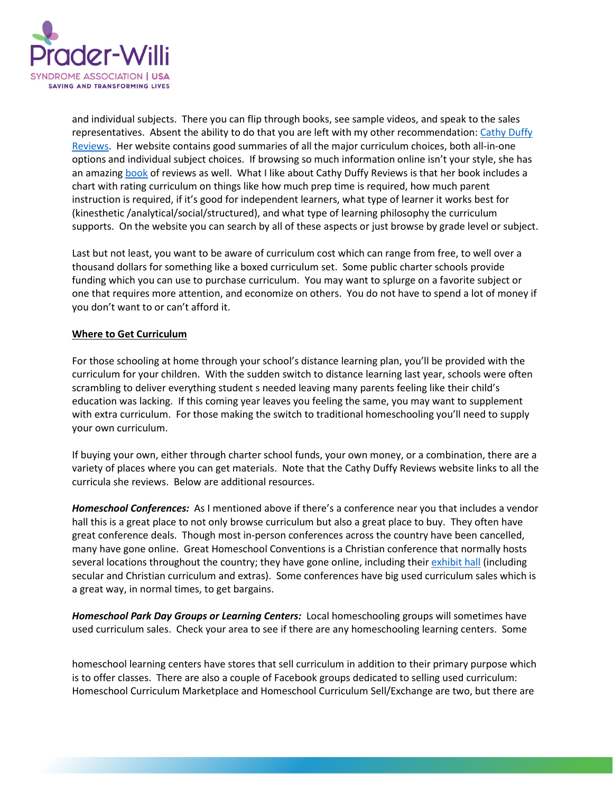

and individual subjects. There you can flip through books, see sample videos, and speak to the sales representatives. Absent the ability to do that you are left with my other recommendation: [Cathy Duffy](https://cathyduffyreviews.com/)  [Reviews.](https://cathyduffyreviews.com/) Her website contains good summaries of all the major curriculum choices, both all-in-one options and individual subject choices. If browsing so much information online isn't your style, she has an amazing [book](https://cathyduffyreviews.com/ordering-102-top-picks) of reviews as well. What I like about Cathy Duffy Reviews is that her book includes a chart with rating curriculum on things like how much prep time is required, how much parent instruction is required, if it's good for independent learners, what type of learner it works best for (kinesthetic /analytical/social/structured), and what type of learning philosophy the curriculum supports. On the website you can search by all of these aspects or just browse by grade level or subject.

Last but not least, you want to be aware of curriculum cost which can range from free, to well over a thousand dollars for something like a boxed curriculum set. Some public charter schools provide funding which you can use to purchase curriculum. You may want to splurge on a favorite subject or one that requires more attention, and economize on others. You do not have to spend a lot of money if you don't want to or can't afford it.

## **Where to Get Curriculum**

For those schooling at home through your school's distance learning plan, you'll be provided with the curriculum for your children. With the sudden switch to distance learning last year, schools were often scrambling to deliver everything student s needed leaving many parents feeling like their child's education was lacking. If this coming year leaves you feeling the same, you may want to supplement with extra curriculum. For those making the switch to traditional homeschooling you'll need to supply your own curriculum.

If buying your own, either through charter school funds, your own money, or a combination, there are a variety of places where you can get materials. Note that the Cathy Duffy Reviews website links to all the curricula she reviews. Below are additional resources.

*Homeschool Conferences:* As I mentioned above if there's a conference near you that includes a vendor hall this is a great place to not only browse curriculum but also a great place to buy. They often have great conference deals. Though most in-person conferences across the country have been cancelled, many have gone online. Great Homeschool Conventions is a Christian conference that normally hosts several locations throughout the country; they have gone online, including their [exhibit hall](https://greathomeschoolconventions.com/locations/online/exhibit-hall) (including secular and Christian curriculum and extras). Some conferences have big used curriculum sales which is a great way, in normal times, to get bargains.

*Homeschool Park Day Groups or Learning Centers:* Local homeschooling groups will sometimes have used curriculum sales. Check your area to see if there are any homeschooling learning centers. Some

homeschool learning centers have stores that sell curriculum in addition to their primary purpose which is to offer classes. There are also a couple of Facebook groups dedicated to selling used curriculum: Homeschool Curriculum Marketplace and Homeschool Curriculum Sell/Exchange are two, but there are